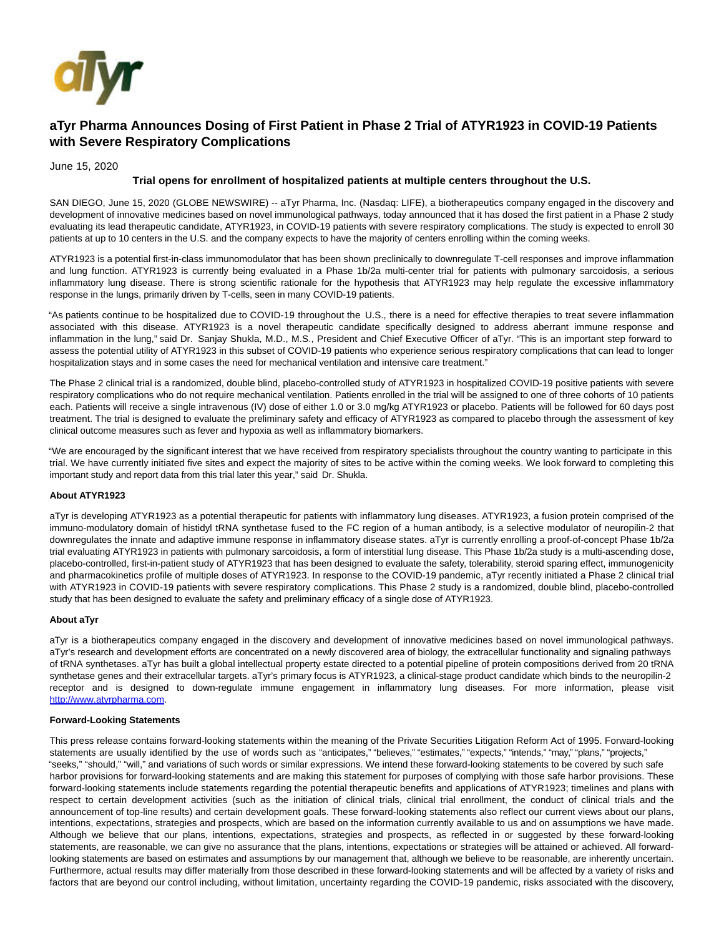

# **aTyr Pharma Announces Dosing of First Patient in Phase 2 Trial of ATYR1923 in COVID-19 Patients with Severe Respiratory Complications**

June 15, 2020

## **Trial opens for enrollment of hospitalized patients at multiple centers throughout the U.S.**

SAN DIEGO, June 15, 2020 (GLOBE NEWSWIRE) -- aTyr Pharma, Inc. (Nasdaq: LIFE), a biotherapeutics company engaged in the discovery and development of innovative medicines based on novel immunological pathways, today announced that it has dosed the first patient in a Phase 2 study evaluating its lead therapeutic candidate, ATYR1923, in COVID-19 patients with severe respiratory complications. The study is expected to enroll 30 patients at up to 10 centers in the U.S. and the company expects to have the majority of centers enrolling within the coming weeks.

ATYR1923 is a potential first-in-class immunomodulator that has been shown preclinically to downregulate T-cell responses and improve inflammation and lung function. ATYR1923 is currently being evaluated in a Phase 1b/2a multi-center trial for patients with pulmonary sarcoidosis, a serious inflammatory lung disease. There is strong scientific rationale for the hypothesis that ATYR1923 may help regulate the excessive inflammatory response in the lungs, primarily driven by T-cells, seen in many COVID-19 patients.

"As patients continue to be hospitalized due to COVID-19 throughout the U.S., there is a need for effective therapies to treat severe inflammation associated with this disease. ATYR1923 is a novel therapeutic candidate specifically designed to address aberrant immune response and inflammation in the lung," said Dr. Sanjay Shukla, M.D., M.S., President and Chief Executive Officer of aTyr. "This is an important step forward to assess the potential utility of ATYR1923 in this subset of COVID-19 patients who experience serious respiratory complications that can lead to longer hospitalization stays and in some cases the need for mechanical ventilation and intensive care treatment."

The Phase 2 clinical trial is a randomized, double blind, placebo-controlled study of ATYR1923 in hospitalized COVID-19 positive patients with severe respiratory complications who do not require mechanical ventilation. Patients enrolled in the trial will be assigned to one of three cohorts of 10 patients each. Patients will receive a single intravenous (IV) dose of either 1.0 or 3.0 mg/kg ATYR1923 or placebo. Patients will be followed for 60 days post treatment. The trial is designed to evaluate the preliminary safety and efficacy of ATYR1923 as compared to placebo through the assessment of key clinical outcome measures such as fever and hypoxia as well as inflammatory biomarkers.

"We are encouraged by the significant interest that we have received from respiratory specialists throughout the country wanting to participate in this trial. We have currently initiated five sites and expect the majority of sites to be active within the coming weeks. We look forward to completing this important study and report data from this trial later this year," said Dr. Shukla.

### **About ATYR1923**

aTyr is developing ATYR1923 as a potential therapeutic for patients with inflammatory lung diseases. ATYR1923, a fusion protein comprised of the immuno-modulatory domain of histidyl tRNA synthetase fused to the FC region of a human antibody, is a selective modulator of neuropilin-2 that downregulates the innate and adaptive immune response in inflammatory disease states. aTyr is currently enrolling a proof-of-concept Phase 1b/2a trial evaluating ATYR1923 in patients with pulmonary sarcoidosis, a form of interstitial lung disease. This Phase 1b/2a study is a multi-ascending dose, placebo-controlled, first-in-patient study of ATYR1923 that has been designed to evaluate the safety, tolerability, steroid sparing effect, immunogenicity and pharmacokinetics profile of multiple doses of ATYR1923. In response to the COVID-19 pandemic, aTyr recently initiated a Phase 2 clinical trial with ATYR1923 in COVID-19 patients with severe respiratory complications. This Phase 2 study is a randomized, double blind, placebo-controlled study that has been designed to evaluate the safety and preliminary efficacy of a single dose of ATYR1923.

### **About aTyr**

aTyr is a biotherapeutics company engaged in the discovery and development of innovative medicines based on novel immunological pathways. aTyr's research and development efforts are concentrated on a newly discovered area of biology, the extracellular functionality and signaling pathways of tRNA synthetases. aTyr has built a global intellectual property estate directed to a potential pipeline of protein compositions derived from 20 tRNA synthetase genes and their extracellular targets. aTyr's primary focus is ATYR1923, a clinical-stage product candidate which binds to the neuropilin-2 receptor and is designed to down-regulate immune engagement in inflammatory lung diseases. For more information, please visit [http://www.atyrpharma.com.](https://www.globenewswire.com/Tracker?data=wIe9JlIB7R8To-1TOqsZBaVlK-ZEBwIUV9iLWCoAe_CdbD3Kjk14RJkPN5nPt55L_WYrBiESkmNabUYeyBs_8kXRKVUVyNRScsg6ji-LIJk=)

#### **Forward-Looking Statements**

This press release contains forward-looking statements within the meaning of the Private Securities Litigation Reform Act of 1995. Forward-looking statements are usually identified by the use of words such as "anticipates," "believes," "estimates," "expects," "intends," "may," "plans," "projects," "seeks," "should," "will," and variations of such words or similar expressions. We intend these forward-looking statements to be covered by such safe harbor provisions for forward-looking statements and are making this statement for purposes of complying with those safe harbor provisions. These forward-looking statements include statements regarding the potential therapeutic benefits and applications of ATYR1923; timelines and plans with respect to certain development activities (such as the initiation of clinical trials, clinical trial enrollment, the conduct of clinical trials and the announcement of top-line results) and certain development goals. These forward-looking statements also reflect our current views about our plans, intentions, expectations, strategies and prospects, which are based on the information currently available to us and on assumptions we have made. Although we believe that our plans, intentions, expectations, strategies and prospects, as reflected in or suggested by these forward-looking statements, are reasonable, we can give no assurance that the plans, intentions, expectations or strategies will be attained or achieved. All forwardlooking statements are based on estimates and assumptions by our management that, although we believe to be reasonable, are inherently uncertain. Furthermore, actual results may differ materially from those described in these forward-looking statements and will be affected by a variety of risks and factors that are beyond our control including, without limitation, uncertainty regarding the COVID-19 pandemic, risks associated with the discovery,